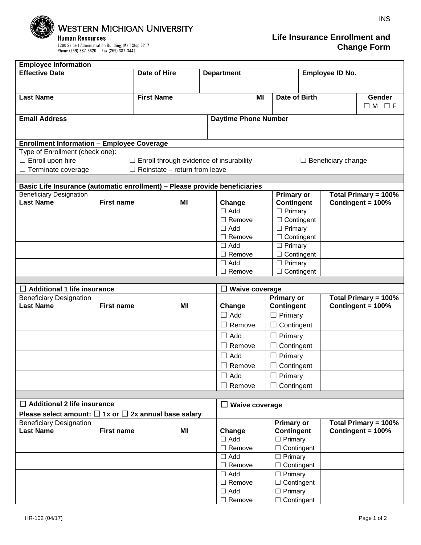

INS

| <b>Employee Information</b>                                                |                                    |                                                                      |                             |    |                                     |                             |                                           |                                    |  |  |  |  |  |  |
|----------------------------------------------------------------------------|------------------------------------|----------------------------------------------------------------------|-----------------------------|----|-------------------------------------|-----------------------------|-------------------------------------------|------------------------------------|--|--|--|--|--|--|
| <b>Effective Date</b>                                                      |                                    | Date of Hire                                                         | <b>Department</b>           |    |                                     | Employee ID No.             |                                           |                                    |  |  |  |  |  |  |
|                                                                            |                                    |                                                                      |                             |    |                                     |                             |                                           |                                    |  |  |  |  |  |  |
|                                                                            |                                    |                                                                      |                             |    |                                     |                             |                                           |                                    |  |  |  |  |  |  |
| <b>Last Name</b>                                                           |                                    | <b>First Name</b>                                                    |                             | ΜI | Date of Birth                       |                             |                                           | Gender                             |  |  |  |  |  |  |
|                                                                            |                                    |                                                                      |                             |    |                                     |                             |                                           | $\Box M$ $\Box F$                  |  |  |  |  |  |  |
| <b>Email Address</b>                                                       |                                    |                                                                      |                             |    |                                     | <b>Daytime Phone Number</b> |                                           |                                    |  |  |  |  |  |  |
|                                                                            |                                    |                                                                      |                             |    |                                     |                             |                                           |                                    |  |  |  |  |  |  |
|                                                                            |                                    |                                                                      |                             |    |                                     |                             |                                           |                                    |  |  |  |  |  |  |
| <b>Enrollment Information - Employee Coverage</b>                          |                                    |                                                                      |                             |    |                                     |                             |                                           |                                    |  |  |  |  |  |  |
| Type of Enrollment (check one):                                            |                                    |                                                                      |                             |    |                                     |                             |                                           |                                    |  |  |  |  |  |  |
| $\Box$ Enroll upon hire                                                    |                                    | $\Box$ Enroll through evidence of insurability<br>Beneficiary change |                             |    |                                     |                             |                                           |                                    |  |  |  |  |  |  |
| Terminate coverage                                                         |                                    | Reinstate - return from leave                                        |                             |    |                                     |                             |                                           |                                    |  |  |  |  |  |  |
|                                                                            |                                    |                                                                      |                             |    |                                     |                             |                                           |                                    |  |  |  |  |  |  |
| Basic Life Insurance (automatic enrollment) - Please provide beneficiaries |                                    |                                                                      |                             |    |                                     |                             |                                           |                                    |  |  |  |  |  |  |
| <b>Beneficiary Designation</b><br><b>Last Name</b>                         | <b>First name</b>                  | ΜI                                                                   | Change                      |    | Primary or<br><b>Contingent</b>     |                             | Total Primary = 100%<br>Contingent = 100% |                                    |  |  |  |  |  |  |
|                                                                            |                                    |                                                                      | $\Box$ Add                  |    | $\Box$ Primary                      |                             |                                           |                                    |  |  |  |  |  |  |
|                                                                            |                                    |                                                                      | $\Box$ Remove               |    | $\Box$ Contingent                   |                             |                                           |                                    |  |  |  |  |  |  |
|                                                                            |                                    |                                                                      | $\Box$ Add                  |    | $\Box$ Primary                      |                             |                                           |                                    |  |  |  |  |  |  |
|                                                                            |                                    |                                                                      | $\Box$ Remove               |    | $\Box$ Contingent                   |                             |                                           |                                    |  |  |  |  |  |  |
|                                                                            |                                    |                                                                      | $\Box$ Add                  |    | $\Box$ Primary                      |                             |                                           |                                    |  |  |  |  |  |  |
|                                                                            |                                    |                                                                      | $\Box$ Remove               |    | $\Box$ Contingent                   |                             |                                           |                                    |  |  |  |  |  |  |
|                                                                            |                                    |                                                                      | $\Box$ Add                  |    | $\Box$ Primary                      |                             |                                           |                                    |  |  |  |  |  |  |
|                                                                            |                                    |                                                                      | $\Box$ Remove               |    | $\Box$ Contingent                   |                             |                                           |                                    |  |  |  |  |  |  |
|                                                                            |                                    |                                                                      |                             |    |                                     |                             |                                           |                                    |  |  |  |  |  |  |
|                                                                            | $\Box$ Additional 1 life insurance |                                                                      |                             |    |                                     |                             | $\Box$ Waive coverage                     |                                    |  |  |  |  |  |  |
|                                                                            |                                    |                                                                      |                             |    |                                     |                             |                                           | Total Primary = 100%<br>Primary or |  |  |  |  |  |  |
| <b>Beneficiary Designation</b>                                             |                                    |                                                                      |                             |    |                                     |                             |                                           |                                    |  |  |  |  |  |  |
| <b>Last Name</b>                                                           | <b>First name</b>                  | ΜI                                                                   | Change                      |    | <b>Contingent</b>                   |                             |                                           | Contingent = 100%                  |  |  |  |  |  |  |
|                                                                            |                                    |                                                                      | $\Box$ Add                  |    | $\Box$ Primary                      |                             |                                           |                                    |  |  |  |  |  |  |
|                                                                            |                                    |                                                                      | $\Box$ Remove               |    | Contingent                          |                             |                                           |                                    |  |  |  |  |  |  |
|                                                                            |                                    |                                                                      |                             |    |                                     |                             |                                           |                                    |  |  |  |  |  |  |
|                                                                            |                                    |                                                                      | $\Box$ Add                  |    | $\Box$ Primary                      |                             |                                           |                                    |  |  |  |  |  |  |
|                                                                            |                                    |                                                                      | $\Box$ Remove               |    | Contingent                          |                             |                                           |                                    |  |  |  |  |  |  |
|                                                                            |                                    |                                                                      | $\Box$ Add                  |    | $\Box$ Primary                      |                             |                                           |                                    |  |  |  |  |  |  |
|                                                                            |                                    |                                                                      | $\Box$ Remove               |    | Contingent                          |                             |                                           |                                    |  |  |  |  |  |  |
|                                                                            |                                    |                                                                      | $\Box$ Add                  |    | $\Box$ Primary                      |                             |                                           |                                    |  |  |  |  |  |  |
|                                                                            |                                    |                                                                      | $\Box$ Remove               |    | Contingent                          |                             |                                           |                                    |  |  |  |  |  |  |
|                                                                            |                                    |                                                                      |                             |    |                                     |                             |                                           |                                    |  |  |  |  |  |  |
| $\Box$ Additional 2 life insurance                                         |                                    |                                                                      | $\Box$ Waive coverage       |    |                                     |                             |                                           |                                    |  |  |  |  |  |  |
| Please select amount: $\Box$ 1x or $\Box$ 2x annual base salary            |                                    |                                                                      |                             |    |                                     |                             |                                           |                                    |  |  |  |  |  |  |
| <b>Beneficiary Designation</b>                                             |                                    |                                                                      |                             |    | Primary or                          |                             |                                           | Total Primary = 100%               |  |  |  |  |  |  |
| <b>Last Name</b>                                                           | <b>First name</b>                  | ΜI                                                                   | Change                      |    | Contingent                          |                             |                                           | Contingent = 100%                  |  |  |  |  |  |  |
|                                                                            |                                    |                                                                      | $\Box$ Add                  |    | $\Box$ Primary                      |                             |                                           |                                    |  |  |  |  |  |  |
|                                                                            |                                    |                                                                      | $\Box$ Remove               |    | $\Box$ Contingent                   |                             |                                           |                                    |  |  |  |  |  |  |
|                                                                            |                                    |                                                                      | $\Box$ Add                  |    | $\Box$ Primary                      |                             |                                           |                                    |  |  |  |  |  |  |
|                                                                            |                                    |                                                                      | $\Box$ Remove               |    | $\Box$ Contingent                   |                             |                                           |                                    |  |  |  |  |  |  |
|                                                                            |                                    |                                                                      | $\Box$ Add                  |    | $\Box$ Primary                      |                             |                                           |                                    |  |  |  |  |  |  |
|                                                                            |                                    |                                                                      | $\Box$ Remove               |    | $\Box$ Contingent                   |                             |                                           |                                    |  |  |  |  |  |  |
|                                                                            |                                    |                                                                      | $\Box$ Add<br>$\Box$ Remove |    | $\Box$ Primary<br>$\Box$ Contingent |                             |                                           |                                    |  |  |  |  |  |  |